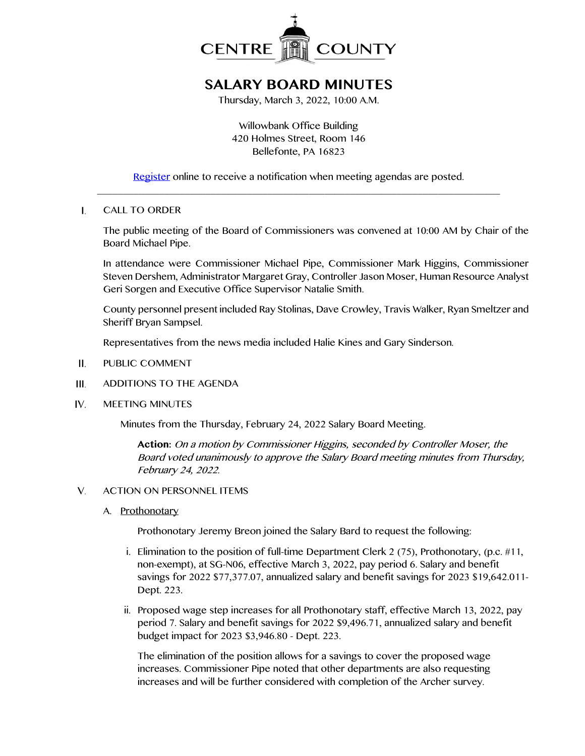

## **SALARY BOARD MINUTES**

Thursday, March 3, 2022, 10:00 A.M.

Willowbank Office Building 420 Holmes Street, Room 146 Bellefonte, PA 16823

[Register](http://www.centrecountypa.gov/AgendaCenter) online to receive a notification when meeting agendas are posted. \_\_\_\_\_\_\_\_\_\_\_\_\_\_\_\_\_\_\_\_\_\_\_\_\_\_\_\_\_\_\_\_\_\_\_\_\_\_\_\_\_\_\_\_\_\_\_\_\_\_\_\_\_\_\_\_\_\_\_\_\_\_\_\_\_\_\_\_\_\_\_\_\_\_\_\_\_\_

 $\mathbf{I}$ . CALL TO ORDER

> The public meeting of the Board of Commissioners was convened at 10:00 AM by Chair of the Board Michael Pipe.

> In attendance were Commissioner Michael Pipe, Commissioner Mark Higgins, Commissioner Steven Dershem, Administrator Margaret Gray, Controller Jason Moser, Human Resource Analyst Geri Sorgen and Executive Office Supervisor Natalie Smith.

> County personnel present included Ray Stolinas, Dave Crowley, Travis Walker, Ryan Smeltzer and Sheriff Bryan Sampsel.

Representatives from the news media included Halie Kines and Gary Sinderson.

- $II.$ PUBLIC COMMENT
- $III.$ ADDITIONS TO THE AGENDA
- IV. MEETING MINUTES

Minutes from the Thursday, February 24, 2022 Salary Board Meeting.

**Action:** On a motion by Commissioner Higgins, seconded by Controller Moser, the Board voted unanimously to approve the Salary Board meeting minutes from Thursday, February 24, 2022.

## V. ACTION ON PERSONNEL ITEMS

A. Prothonotary

Prothonotary Jeremy Breon joined the Salary Bard to request the following:

- i. Elimination to the position of full-time Department Clerk 2 (75), Prothonotary, (p.c.  $\#11$ , non-exempt), at SG-N06, effective March 3, 2022, pay period 6. Salary and benefit savings for 2022 \$77,377.07, annualized salary and benefit savings for 2023 \$19,642.011- Dept. 223.
- ii. Proposed wage step increases for all Prothonotary staff, effective March 13, 2022, pay period 7. Salary and benefit savings for 2022 \$9,496.71, annualized salary and benefit budget impact for 2023 \$3,946.80 - Dept. 223.

The elimination of the position allows for a savings to cover the proposed wage increases. Commissioner Pipe noted that other departments are also requesting increases and will be further considered with completion of the Archer survey.